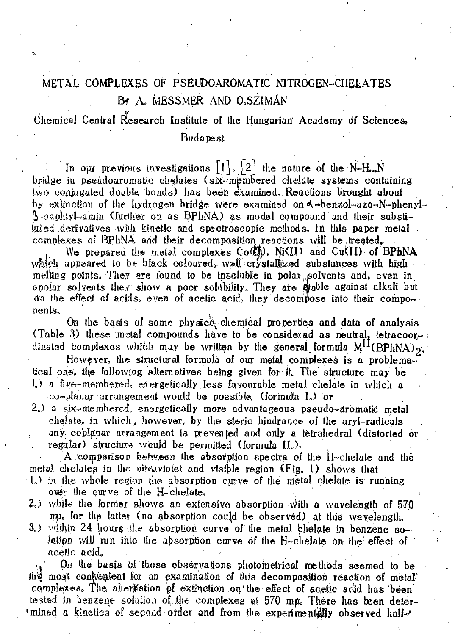# METAL COMPLEXES OF PSEUDOAROMATIC NITROGEN-CI1ELATES B? A, MESSMER AND O.SZIMÀN

*1* 

Chemical Central Research Institute of the Hungarian' Academy df Sciences» Budapest

In our previous investigations  $\lfloor 1 \rfloor$ ,  $\lfloor 2 \rfloor$  the nature of the N-H...N. bridge in pseudoaromatic chelates (six-membered chelate systems containing two conjugated double bonds) has been examined, Reactions brought about by extinction of the hydrogen bridge were examined on  $\triangle$ -benzol-azo-N-phenyl- $\beta$ -naphtyl-amin (further on as BPhNA) as model compound and their substituted derivatives wiih kinetic and spectroscopic methods. In this paper metal complexes of BPhNA and their decomposition reactions will be treated.

We prepared the metal complexes Co( $\mathbb{I}$ ), Ni(II) and Cu(II) of BPhNA which appeared to be black coloured, well crystallized substances with high melting points. They are found to be insoluble in polar solvents and, even in apolar solvents they show a poor solubility. They are stable against alkali but on the effect of acids, even of acetic acid, they decompose into their components,  $\mathbf{r} = \mathbf{r} \cdot \mathbf{r}$ 

On the basis of some physico-chemical properties and data of analysis (Table 3) these metal compounds have to be considered as neutral, tetracoordinated; complexes which may be written by the general formula  $M^{11} (BPhNA)_{2}$ .

However, the structural formula of our metal complexes is a problematical one, the following alternatives being given for it. The structure may be  $L$ ) a five-membered, energetically less favourable metal chelate in which a

co-planar arrangement would be possible, (formula L) or

2.) a six-membered, energetically more advantageous pseudo-dromatic metal chelate, in which », however, by the steric hindrance of the aryl-radicals any coplpnar arrangement is prevented and only a tètrahedral (distorted or regular) structure would be'permitted (formula IL).

A comparison between the absorption spectra of the tj-chelate and the metal chelates in the ultraviolet and visible region (Fig. 1) shows that

- . I.) in the whole region the absorption curve of the metal chelate is running over the curve of the  $H$ -chelate.
- 2.) while the former shows an extensive absorption with a wavelength of 570 rg. for the latter (no absorption could be observed) at this wavelength,
- 3.) within 24 hours the absorption curve of the metal chelate in benzene solution will run into the absorption curve of the H-chelate on the effect of acetic acid.

On the basis of those observations photometrical methods seemed to be the most confenient for an examination of this decomposition reaction of metal complexes. The alternation of extinction on the effect of agetic acid has been tested in benzene solution of the complexes at 570 mu. There has been deter-'mined a kinetics of second order and from the experimentally observed half-'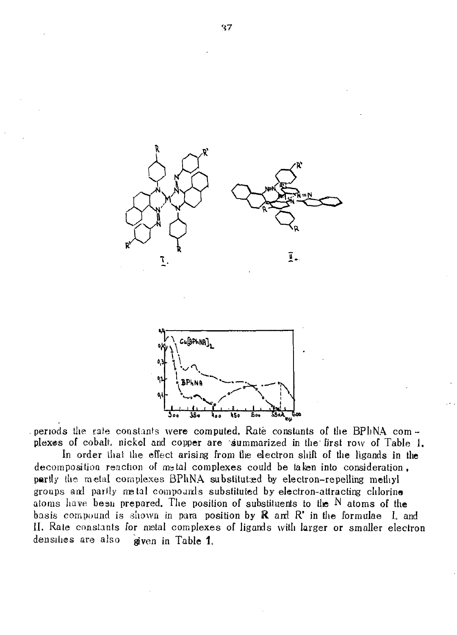



periods the rate constants were computed. Rate constants of the BPhNA complexes of cobalt, nickel and copper are summarized in the first row of Table 1.

In order that the effect arising from the electron shift of the ligands in the decomposition reaction of metal complexes could be taken into consideration, partly the metal complexes BPhNA substituted by electron-repelling methyl groups and partly metal compounds substituted by electron-attracting chlorine atoms have besn prepared. The position of substituents to the N atoms of the basis compound is shown in para position by  $\mathbb R$  and  $\mathbb R^*$  in the formulae I. and II. Rate constants for metal complexes of ligands with larger or smaller electron densities are also given in Table 1.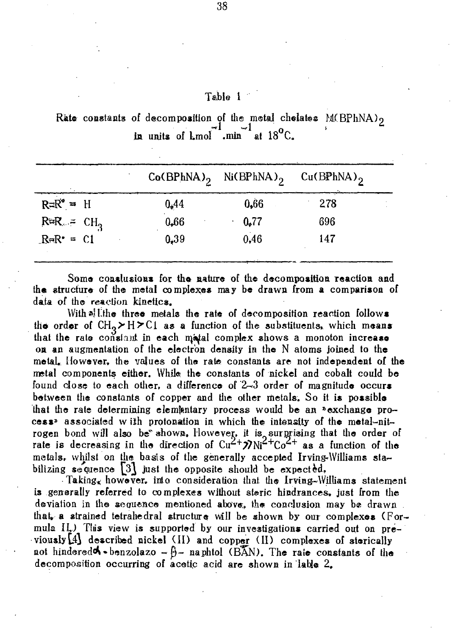## Table 1

Rate constants of decomposition of the metal chelates M(BPhNA)<sub>2</sub> in units of Lmol min at  $18^{\circ}$ C.

|              |      | $Co(BPhNA)$ <sub>2</sub> Ni(BPhNA) <sub>2</sub> | $Cu(BPhNA)$ <sub>2</sub> |
|--------------|------|-------------------------------------------------|--------------------------|
| $R=R^* = H$  | 0,44 | 0.66                                            | 278                      |
| $R = CH3$    | 0,66 | 0,77                                            | 696                      |
| $ReR^* = C1$ | 0.39 | 0,46                                            | 147                      |

Some conslusions for the nature of the decomposition reaction and the structure of the metal complexes may be drawn from a comparison of data of the reaction kinetics.

With all the three metals the rate of decomposition reaction follows the order of  $CH_2 > H > C1$  as a function of the substituents, which means that the rate constant in each matal complex shows a monoton increase on an augmentation of the electron density in the N atoms joined to the metal, However, the values of the rate constants are not independent of the metal components either. While the constants of nickel and cobalt could be found close to each other, a difference of 2-3 order of magnitude occurs between the constants of copper and the other metals. So it is possible that the rate determining elementary process would be an "exchange process<sup>2</sup> associated with protonation in which the intensity of the metal-nitrogen bond will also be shown. However, it is surprising that the order of rate is decreasing in the direction of  $Cu^{2+}\n7Ni^{2+}Co^{2+}$  as a function of the metals, whilst on the basis of the generally accepted Irving-Williams stabilizing sequence  $[3]$  just the opposite should be expected.

Taking, however, into consideration that the Irving-Williams statement is generally referred to complexes without steric hindrances, just from the deviation in the sequence mentioned above, the conclusion may be drawn. that, a strained tetrahedral structure will be shown by our complexes (Formula II.) This view is supported by our investigations carried out on previously [4] described nickel (II) and copper (II) complexes of sterically not hindered  $\bullet$  - benzolazo  $-\theta$  - naphtol (BAN). The rate constants of the decomposition occurring of acetic acid are shown in lable 2.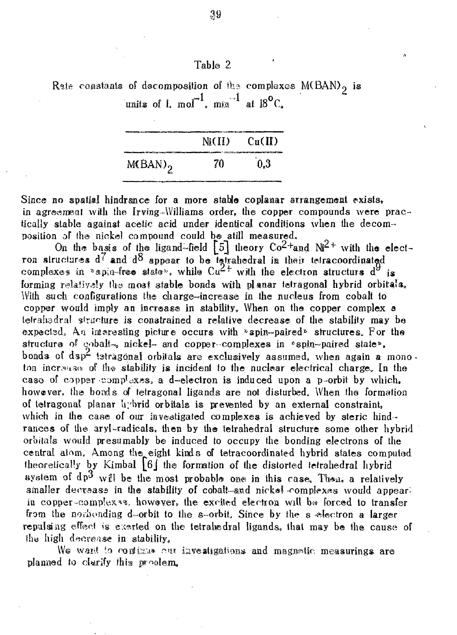|  |  |  | Rate constants of decomposition of the complexes $M(BAN)$ , is                   |  |
|--|--|--|----------------------------------------------------------------------------------|--|
|  |  |  | units of 1. mol <sup>-1</sup> , min <sup>-1</sup> at $18^{\circ}$ C <sub>c</sub> |  |

Table 2

|                       |    | $Ni(II)$ $Cu(II)$<br><b>SCHOOL SECTION CONTINUES IN CONTINUES.</b> |
|-----------------------|----|--------------------------------------------------------------------|
| $M(BAN)$ <sub>2</sub> | 70 | 0.3                                                                |

Since no spatial hindrance for a more stable coplanar arrangement exists, in agreement with the Irving-Williams order, the copper compounds were practically stable against acetic acid under identical conditions when the decomposition of the nickel compound could be still measured.

On the basis of the ligand-field  $\begin{bmatrix} 5 \end{bmatrix}$  theory  $\text{Co}^{2+}$ and  $\text{Ni}^{2+}$  with the electron structures d' and appear to be **tatrahedral** in their tefracoordinated complexes in  $\sqrt[3]{ }$  spin-free state», while  $Cu^{2+}$  with the electron structurs  $d^{9}$  is forming relatively the most stable bonds with planar tetragonal hybrid orbitals. With such configurations the charge-increase in the nucleus from cobalt to copper would imply an increase in stability, When on the copper complex a tetrahedral structure is constrained a relative decrease of the stability may be expected. An interesting picture occurs with  $\frac{1}{2}$  spin-paired<sup>2</sup> structures. For the structure of cobalt-<sub>\*</sub> nickel- and copper-complexes in \*spin-paired state\*, bonds of dsp<sup>2</sup> tatragonal orbitals are exclusively assumed, when again a monoton increases of the stability is incident to the nuclear electrical charge. In the caso of copper complexes, a d-electron is induced upon a p-orbit by which, however, the bonds of tetragonal ligands are not disturbed. When the formation of tetragonal planar hybrid orbitals is prevented by an external constraint, which in the case of our investigated complexes is achieved by steric hindrances of the aryl-radicals, then by the tetrahedral structure some other hybrid orbitals would presumably be induced to occupy the bonding electrons of the central atom. Among the eight kinds of tetracoordinaied hybrid states computed theoretically by Kimbal  $\lceil 6 \rceil$  the formation of the distorted tetrahedral hybrid system of  $dp^3$  will be the most probable one in this case. Then, a relatively smaller decrease in the stability of cobalt-and nickel complexes would appearin copper-complex<sup>38</sup>, however, the excited electron will be forced to transfer from the nonbonding d-orbit to the s-orbit. Since by the s electron a larger repulsing effect is exerted on the tetrahedral ligands, that may be the cause of thy high decrease in stability,

We want to continua our investigations and magnetic measurings are planned to clarify this pr^olem.

39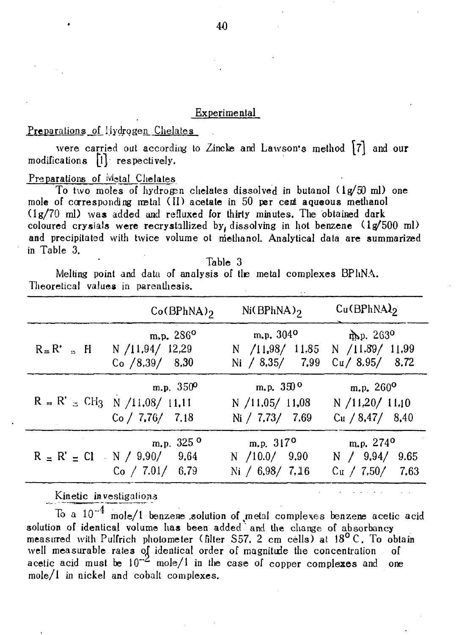#### Experimental

#### Preparations of Hydrogen Chelates

were carried out according to Zincke and Lawson's method  $\lceil 7 \rceil$  and our  $modifications$   $[1]$  respectively.

#### Preparations of Metal Chelates

To two moles of hydrogen chelates dissolved in butanol  $(1g/50 \text{ ml})$  one mole of corresponding metal (II) acetate in 50 per cent aqueous methanol (lg/70 ml) was added and refluxed for thirty minutes. The obtained dark coloured crystals were recrystallized by, dissolving in hot benzene  $(1g/500 \text{ ml})$ and precipitated with twice volume ot methanol. Analytical data are summarized in Table 3.

Table 3

Melting point and data of analysis of tie metal complexes BPhNA. Theoretical values in parenthesis.

| $Co(BPhNA)_{2}$                                                        | $Ni(BPhNA)_{2}$                                                                                           | $Cu$ (BPhNA) <sub>2</sub> |
|------------------------------------------------------------------------|-----------------------------------------------------------------------------------------------------------|---------------------------|
| m.p. $286^{\circ}$<br>$R = R' = H$ N /11,94/ 12,29<br>$Co$ /8.39/ 8.30 | $m_{\bullet}p_{\bullet}304^{\circ}$<br>N /11,98/ 11.85 N /11.89/ 11.99<br>Ni / 8,35/ 7,99 Cu / 8.95/ 8.72 | $mp.263$ <sup>o</sup>     |
| m.p. $350^{\circ}$                                                     | m.p. $350^{\circ}$                                                                                        | m.p. $260^{\circ}$        |
| $R = R' = CH_3$ N /11,08/ 11,11                                        | N / 11,05 / 11,08                                                                                         | N / 11,20 / 11,10         |
| Co / 7.76 / 7.18                                                       | Ni / 7,73/ 7.69                                                                                           | Cu / 8,47/8,40            |
| m.p. $325^{\circ}$                                                     | $m.p. 317^{\circ}$                                                                                        | m.p. $274^{\circ}$        |
| $R = R' = Cl \cdot N / 9.90/ 9.64$                                     | N $/10.0/$ 9.90                                                                                           | N $/$ 9.94/ 9.65          |
| $Co$ / 7.01/ 6.79                                                      | Ni $/$ 6.98/ 7.16                                                                                         | $Cu$ / 7.50/ 7.63         |

Kinetic investigations

To a  $10^{-4}$  mole/1 benzene solution of metal complexes benzene acetic acid solution of identical volume has been added and the change of absorbancy measured with Pulfrich photometer (filter S57. 2 cm cells) at 18° C. To obtain well measurable rates of identical order of magnitude the concentration of acetic acid must be  $10^{-2}$  mole/1 in the case of copper complexes and one mole/1 in nickel and cobalt complexes.